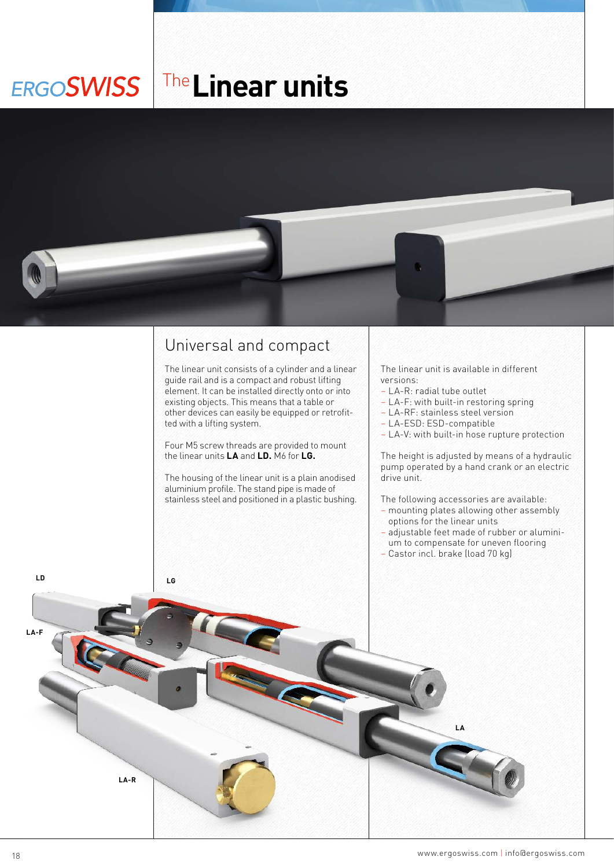## The**Linear unitsERGOSWISS**



## Universal and compact

The linear unit consists of a cylinder and a linear guide rail and is a compact and robust lifting element. It can be installed directly onto or into existing objects. This means that a table or other devices can easily be equipped or retrofitted with a lifting system.

Four M5 screw threads are provided to mount the linear units **LA** and **LD.** M6 for **LG.**

The housing of the linear unit is a plain anodised aluminium profile. The stand pipe is made of stainless steel and positioned in a plastic bushing.

The linear unit is available in different versions:

- LA-R: radial tube outlet
- LA-F: with built-in restoring spring
- LA-RF: stainless steel version
- LA-ESD: ESD-compatible
- LA-V: with built-in hose rupture protection

The height is adjusted by means of a hydraulic pump operated by a hand crank or an electric drive unit.

The following accessories are available:

- mounting plates allowing other assembly options for the linear units
- adjustable feet made of rubber or aluminium to compensate for uneven flooring
- Castor incl. brake (load 70 kg)

**LA**

**LD LG**

**LA-F**

**LA-R**